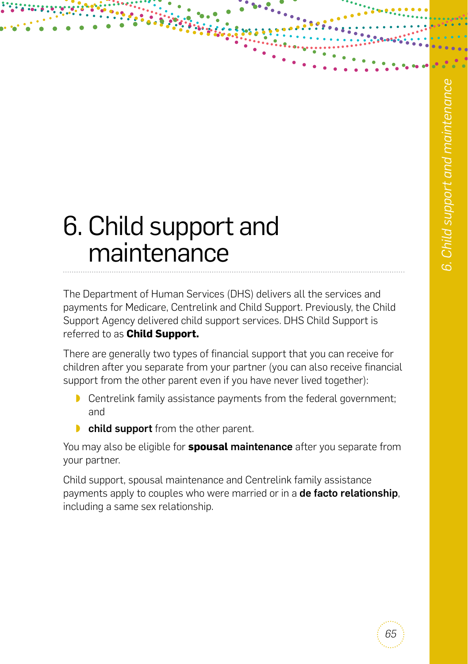# 6. Child support and maintenance

The Department of Human Services (DHS) delivers all the services and payments for Medicare, Centrelink and Child Support. Previously, the Child Support Agency delivered child support services. DHS Child Support is referred to as **Child Support.**

There are generally two types of financial support that you can receive for children after you separate from your partner (you can also receive financial support from the other parent even if you have never lived together):

- ◗ Centrelink family assistance payments from the federal government; and
- **■** child support from the other parent.

You may also be eligible for **spousal** maintenance after you separate from your partner.

Child support, spousal maintenance and Centrelink family assistance payments apply to couples who were married or in a **de facto relationship**, including a same sex relationship.

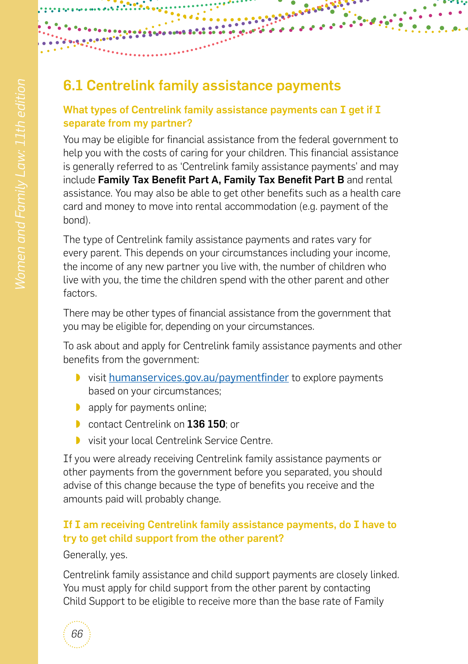# <span id="page-1-0"></span>6.1 Centrelink family assistance payments

#### What types of Centrelink family assistance payments can I get if I separate from my partner?

**BARASHA** 

You may be eligible for financial assistance from the federal government to help you with the costs of caring for your children. This financial assistance is generally referred to as 'Centrelink family assistance payments' and may include Family Tax Benefit Part A, Family Tax Benefit Part B and rental assistance. You may also be able to get other benefits such as a health care card and money to move into rental accommodation (e.g. payment of the bond).

The type of Centrelink family assistance payments and rates vary for every parent. This depends on your circumstances including your income, the income of any new partner you live with, the number of children who live with you, the time the children spend with the other parent and other factors.

There may be other types of financial assistance from the government that you may be eligible for, depending on your circumstances.

To ask about and apply for Centrelink family assistance payments and other benefits from the government:

- ◗ visit [humanservices.gov.au/paymentfinder](http://humanservices.gov.au/paymentfinder) to explore payments based on your circumstances;
- ◗ apply for payments online;
- contact Centrelink on 136 150; or
- visit your local Centrelink Service Centre.

If you were already receiving Centrelink family assistance payments or other payments from the government before you separated, you should advise of this change because the type of benefits you receive and the amounts paid will probably change.

#### If I am receiving Centrelink family assistance payments, do I have to try to get child support from the other parent?

Generally, yes.

Centrelink family assistance and child support payments are closely linked. You must apply for child support from the other parent by contacting Child Support to be eligible to receive more than the base rate of Family

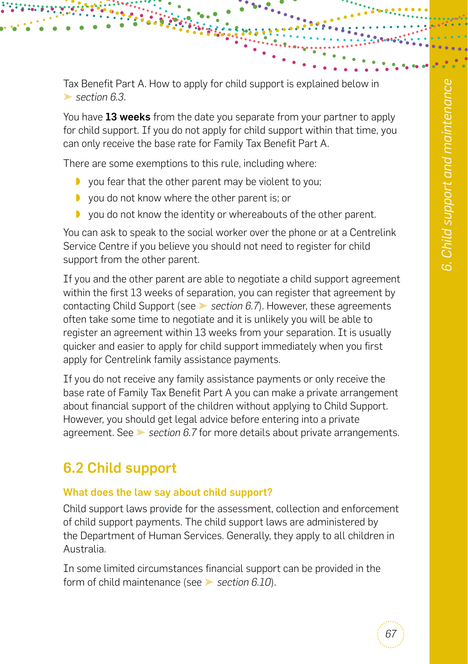Tax Benefit Part A. How to apply for child support is explained below in ➤ *[section 6.3](#page-4-0)*.

You have 13 weeks from the date you separate from your partner to apply for child support. If you do not apply for child support within that time, you can only receive the base rate for Family Tax Benefit Part A.

There are some exemptions to this rule, including where:

- ◗ you fear that the other parent may be violent to you;
- ◗ you do not know where the other parent is; or
- ◗ you do not know the identity or whereabouts of the other parent.

You can ask to speak to the social worker over the phone or at a Centrelink Service Centre if you believe you should not need to register for child support from the other parent.

If you and the other parent are able to negotiate a child support agreement within the first 13 weeks of separation, you can register that agreement by contacting Child Support (see ➤ *[section 6.7](#page-10-0)*). However, these agreements often take some time to negotiate and it is unlikely you will be able to register an agreement within 13 weeks from your separation. It is usually quicker and easier to apply for child support immediately when you first apply for Centrelink family assistance payments.

If you do not receive any family assistance payments or only receive the base rate of Family Tax Benefit Part A you can make a private arrangement about financial support of the children without applying to Child Support. However, you should get legal advice before entering into a private agreement. See ➤ *[section 6.7](#page-10-0)* for more details about private arrangements.

# 6.2 Child support

#### What does the law say about child support?

Child support laws provide for the assessment, collection and enforcement of child support payments. The child support laws are administered by the Department of Human Services. Generally, they apply to all children in Australia.

In some limited circumstances financial support can be provided in the form of child maintenance (see ➤ *[section 6.10](#page-14-0)*).

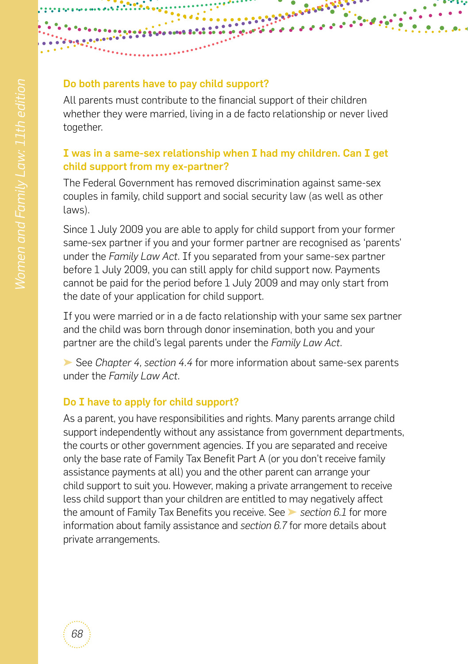#### Do both parents have to pay child support?

All parents must contribute to the financial support of their children whether they were married, living in a de facto relationship or never lived together.

**BARBO** 

#### I was in a same-sex relationship when I had my children. Can I get child support from my ex-partner?

The Federal Government has removed discrimination against same-sex couples in family, child support and social security law (as well as other laws).

Since 1 July 2009 you are able to apply for child support from your former same-sex partner if you and your former partner are recognised as 'parents' under the *Family Law Act*. If you separated from your same-sex partner before 1 July 2009, you can still apply for child support now. Payments cannot be paid for the period before 1 July 2009 and may only start from the date of your application for child support.

If you were married or in a de facto relationship with your same sex partner and the child was born through donor insemination, both you and your partner are the child's legal parents under the *Family Law Act*.

➤ See *[Chapter 4, section 4.4](#page--1-0)* for more information about same-sex parents under the *Family Law Act*.

#### Do I have to apply for child support?

As a parent, you have responsibilities and rights. Many parents arrange child support independently without any assistance from government departments, the courts or other government agencies. If you are separated and receive only the base rate of Family Tax Benefit Part A (or you don't receive family assistance payments at all) you and the other parent can arrange your child support to suit you. However, making a private arrangement to receive less child support than your children are entitled to may negatively affect the amount of Family Tax Benefits you receive. See ➤ *[section 6.1](#page-1-0)* for more information about family assistance and *[section 6.7](#page-10-0)* for more details about private arrangements.

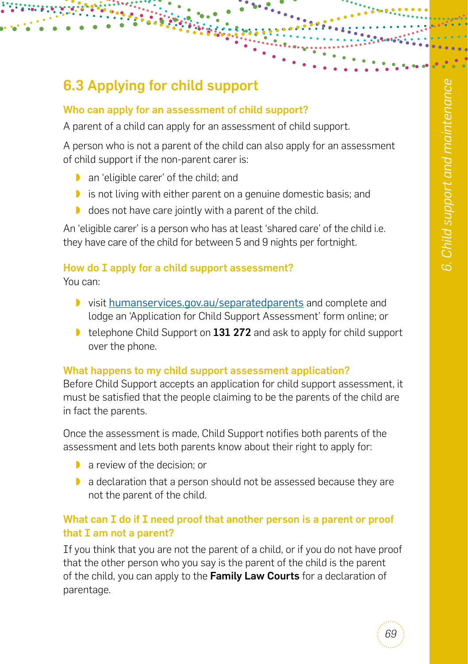# <span id="page-4-0"></span>6.3 Applying for child support

#### Who can apply for an assessment of child support?

A parent of a child can apply for an assessment of child support.

A person who is not a parent of the child can also apply for an assessment of child support if the non-parent carer is:

- ◗ an 'eligible carer' of the child; and
- ◗ is not living with either parent on a genuine domestic basis; and
- ◗ does not have care jointly with a parent of the child.

An 'eligible carer' is a person who has at least 'shared care' of the child i.e. they have care of the child for between 5 and 9 nights per fortnight.

#### How do I apply for a child support assessment?

You can:

- ◗ visit [humanservices.gov.au/separatedparents](http://humanservices.gov.au/separatedparents) and complete and lodge an 'Application for Child Support Assessment' form online; or
- telephone Child Support on 131 272 and ask to apply for child support over the phone.

#### What happens to my child support assessment application?

Before Child Support accepts an application for child support assessment, it must be satisfied that the people claiming to be the parents of the child are in fact the parents.

Once the assessment is made, Child Support notifies both parents of the assessment and lets both parents know about their right to apply for:

- ◗ a review of the decision; or
- ◗ a declaration that a person should not be assessed because they are not the parent of the child.

#### What can I do if I need proof that another person is a parent or proof that I am not a parent?

If you think that you are not the parent of a child, or if you do not have proof that the other person who you say is the parent of the child is the parent of the child, you can apply to the Family Law Courts for a declaration of parentage.

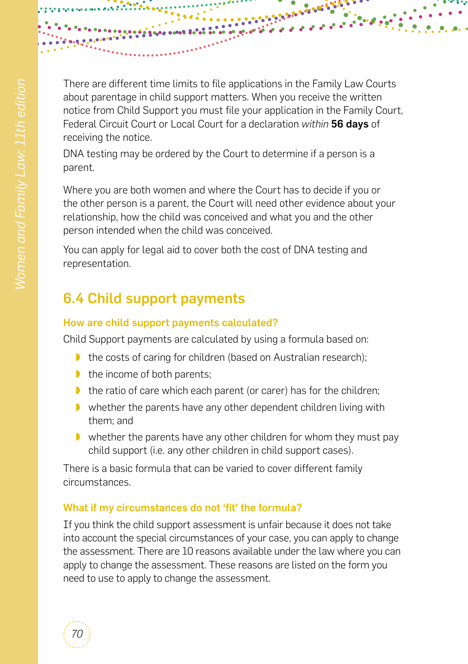

There are different time limits to file applications in the Family Law Courts about parentage in child support matters. When you receive the written notice from Child Support you must file your application in the Family Court, Federal Circuit Court or Local Court for a declaration *within* 56 days of receiving the notice.

DNA testing may be ordered by the Court to determine if a person is a parent.

Where you are both women and where the Court has to decide if you or the other person is a parent, the Court will need other evidence about your relationship, how the child was conceived and what you and the other person intended when the child was conceived.

You can apply for legal aid to cover both the cost of DNA testing and representation.

# 6.4 Child support payments

#### How are child support payments calculated?

Child Support payments are calculated by using a formula based on:

- ◗ the costs of caring for children (based on Australian research);
- ◗ the income of both parents;
- ◗ the ratio of care which each parent (or carer) has for the children;
- ◗ whether the parents have any other dependent children living with them; and
- ◗ whether the parents have any other children for whom they must pay child support (i.e. any other children in child support cases).

There is a basic formula that can be varied to cover different family circumstances.

#### What if my circumstances do not 'fit' the formula?

If you think the child support assessment is unfair because it does not take into account the special circumstances of your case, you can apply to change the assessment. There are 10 reasons available under the law where you can apply to change the assessment. These reasons are listed on the form you need to use to apply to change the assessment.

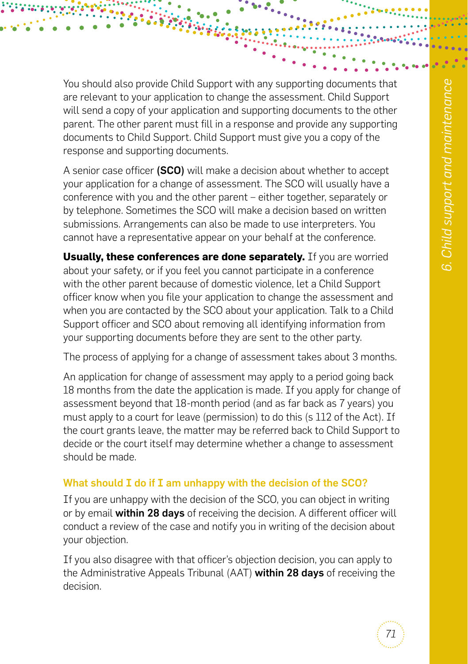You should also provide Child Support with any supporting documents that are relevant to your application to change the assessment. Child Support will send a copy of your application and supporting documents to the other parent. The other parent must fill in a response and provide any supporting documents to Child Support. Child Support must give you a copy of the response and supporting documents.

A senior case officer (SCO) will make a decision about whether to accept your application for a change of assessment. The SCO will usually have a conference with you and the other parent – either together, separately or by telephone. Sometimes the SCO will make a decision based on written submissions. Arrangements can also be made to use interpreters. You cannot have a representative appear on your behalf at the conference.

**Usually, these conferences are done separately.** If you are worried about your safety, or if you feel you cannot participate in a conference with the other parent because of domestic violence, let a Child Support officer know when you file your application to change the assessment and when you are contacted by the SCO about your application. Talk to a Child Support officer and SCO about removing all identifying information from your supporting documents before they are sent to the other party.

The process of applying for a change of assessment takes about 3 months.

An application for change of assessment may apply to a period going back 18 months from the date the application is made. If you apply for change of assessment beyond that 18-month period (and as far back as 7 years) you must apply to a court for leave (permission) to do this (s 112 of the Act). If the court grants leave, the matter may be referred back to Child Support to decide or the court itself may determine whether a change to assessment should be made.

#### What should I do if I am unhappy with the decision of the SCO?

If you are unhappy with the decision of the SCO, you can object in writing or by email within 28 days of receiving the decision. A different officer will conduct a review of the case and notify you in writing of the decision about your objection.

If you also disagree with that officer's objection decision, you can apply to the Administrative Appeals Tribunal (AAT) within 28 days of receiving the decision.

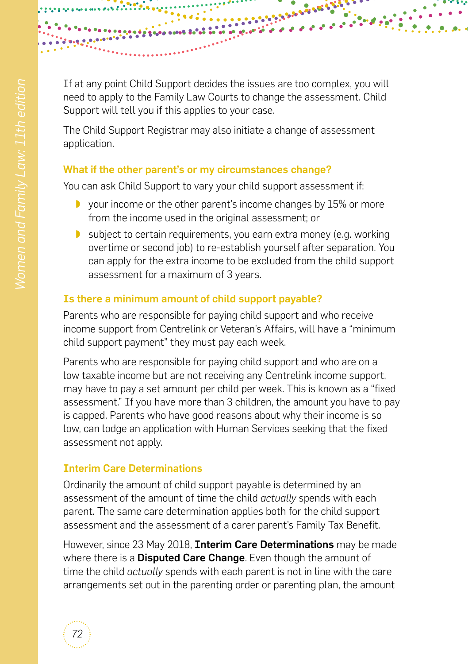

If at any point Child Support decides the issues are too complex, you will need to apply to the Family Law Courts to change the assessment. Child Support will tell you if this applies to your case.

The Child Support Registrar may also initiate a change of assessment application.

#### What if the other parent's or my circumstances change?

You can ask Child Support to vary your child support assessment if:

- ◗ your income or the other parent's income changes by 15% or more from the income used in the original assessment; or
- ◗ subject to certain requirements, you earn extra money (e.g. working overtime or second job) to re-establish yourself after separation. You can apply for the extra income to be excluded from the child support assessment for a maximum of 3 years.

#### Is there a minimum amount of child support payable?

Parents who are responsible for paying child support and who receive income support from Centrelink or Veteran's Affairs, will have a "minimum child support payment" they must pay each week.

Parents who are responsible for paying child support and who are on a low taxable income but are not receiving any Centrelink income support, may have to pay a set amount per child per week. This is known as a "fixed assessment." If you have more than 3 children, the amount you have to pay is capped. Parents who have good reasons about why their income is so low, can lodge an application with Human Services seeking that the fixed assessment not apply.

#### Interim Care Determinations

Ordinarily the amount of child support payable is determined by an assessment of the amount of time the child *actually* spends with each parent. The same care determination applies both for the child support assessment and the assessment of a carer parent's Family Tax Benefit.

However, since 23 May 2018, **Interim Care Determinations** may be made where there is a **Disputed Care Change**. Even though the amount of time the child *actually* spends with each parent is not in line with the care arrangements set out in the parenting order or parenting plan, the amount

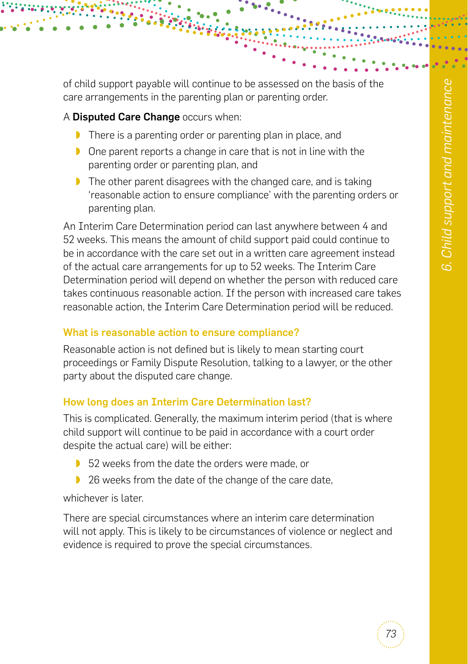of child support payable will continue to be assessed on the basis of the care arrangements in the parenting plan or parenting order.

#### A Disputed Care Change occurs when:

- ◗ There is a parenting order or parenting plan in place, and
- ◗ One parent reports a change in care that is not in line with the parenting order or parenting plan, and
- ◗ The other parent disagrees with the changed care, and is taking 'reasonable action to ensure compliance' with the parenting orders or parenting plan.

An Interim Care Determination period can last anywhere between 4 and 52 weeks. This means the amount of child support paid could continue to be in accordance with the care set out in a written care agreement instead of the actual care arrangements for up to 52 weeks. The Interim Care Determination period will depend on whether the person with reduced care takes continuous reasonable action. If the person with increased care takes reasonable action, the Interim Care Determination period will be reduced.

#### What is reasonable action to ensure compliance?

Reasonable action is not defined but is likely to mean starting court proceedings or Family Dispute Resolution, talking to a lawyer, or the other party about the disputed care change.

#### How long does an Interim Care Determination last?

This is complicated. Generally, the maximum interim period (that is where child support will continue to be paid in accordance with a court order despite the actual care) will be either:

- ◗ 52 weeks from the date the orders were made, or
- ◗ 26 weeks from the date of the change of the care date,

whichever is later.

There are special circumstances where an interim care determination will not apply. This is likely to be circumstances of violence or neglect and evidence is required to prove the special circumstances.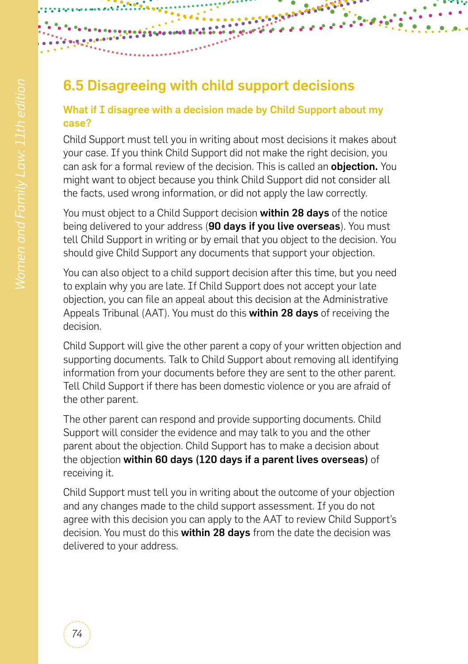# 6.5 Disagreeing with child support decisions

#### What if I disagree with a decision made by Child Support about my case?

**BARASSE** 

Child Support must tell you in writing about most decisions it makes about your case. If you think Child Support did not make the right decision, you can ask for a formal review of the decision. This is called an **obiection.** You might want to object because you think Child Support did not consider all the facts, used wrong information, or did not apply the law correctly.

You must object to a Child Support decision **within 28 days** of the notice being delivered to your address (90 days if you live overseas). You must tell Child Support in writing or by email that you object to the decision. You should give Child Support any documents that support your objection.

You can also object to a child support decision after this time, but you need to explain why you are late. If Child Support does not accept your late objection, you can file an appeal about this decision at the Administrative Appeals Tribunal (AAT). You must do this within 28 days of receiving the decision.

Child Support will give the other parent a copy of your written objection and supporting documents. Talk to Child Support about removing all identifying information from your documents before they are sent to the other parent. Tell Child Support if there has been domestic violence or you are afraid of the other parent.

The other parent can respond and provide supporting documents. Child Support will consider the evidence and may talk to you and the other parent about the objection. Child Support has to make a decision about the objection within 60 days (120 days if a parent lives overseas) of receiving it.

Child Support must tell you in writing about the outcome of your objection and any changes made to the child support assessment. If you do not agree with this decision you can apply to the AAT to review Child Support's decision. You must do this **within 28 days** from the date the decision was delivered to your address.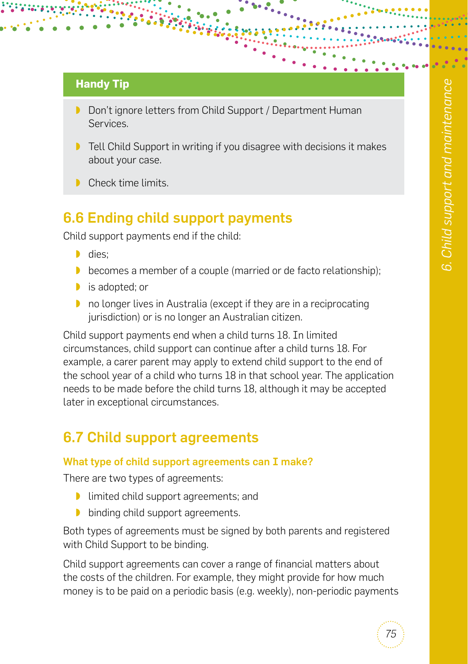#### **Handy Tip**

- ◗ Don't ignore letters from Child Support / Department Human Services.
- ◗ Tell Child Support in writing if you disagree with decisions it makes about your case.
- Check time limits.

### 6.6 Ending child support payments

Child support payments end if the child:

- ◗ dies;
- ◗ becomes a member of a couple (married or de facto relationship);
- ◗ is adopted; or
- ◗ no longer lives in Australia (except if they are in a reciprocating jurisdiction) or is no longer an Australian citizen.

Child support payments end when a child turns 18. In limited circumstances, child support can continue after a child turns 18. For example, a carer parent may apply to extend child support to the end of the school year of a child who turns 18 in that school year. The application needs to be made before the child turns 18, although it may be accepted later in exceptional circumstances.

# <span id="page-10-0"></span>6.7 Child support agreements

#### What type of child support agreements can I make?

There are two types of agreements:

- ◗ limited child support agreements; and
- ◗ binding child support agreements.

Both types of agreements must be signed by both parents and registered with Child Support to be binding.

Child support agreements can cover a range of financial matters about the costs of the children. For example, they might provide for how much money is to be paid on a periodic basis (e.g. weekly), non-periodic payments

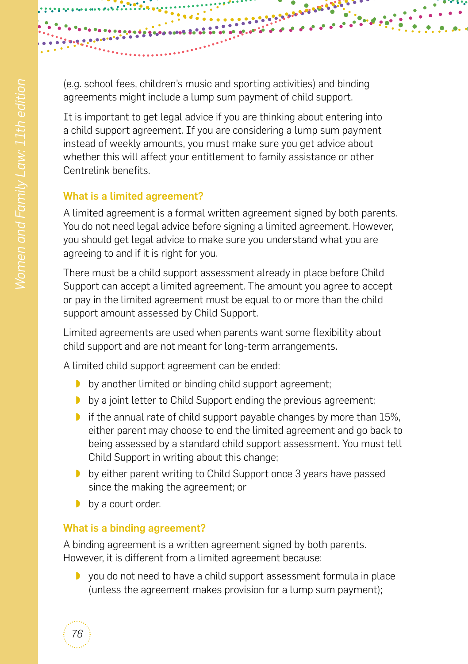(e.g. school fees, children's music and sporting activities) and binding agreements might include a lump sum payment of child support.

**BARBARA** 

It is important to get legal advice if you are thinking about entering into a child support agreement. If you are considering a lump sum payment instead of weekly amounts, you must make sure you get advice about whether this will affect your entitlement to family assistance or other Centrelink benefits.

#### What is a limited agreement?

A limited agreement is a formal written agreement signed by both parents. You do not need legal advice before signing a limited agreement. However, you should get legal advice to make sure you understand what you are agreeing to and if it is right for you.

There must be a child support assessment already in place before Child Support can accept a limited agreement. The amount you agree to accept or pay in the limited agreement must be equal to or more than the child support amount assessed by Child Support.

Limited agreements are used when parents want some flexibility about child support and are not meant for long-term arrangements.

A limited child support agreement can be ended:

- ◗ by another limited or binding child support agreement;
- ◗ by a joint letter to Child Support ending the previous agreement;
- ◗ if the annual rate of child support payable changes by more than 15%, either parent may choose to end the limited agreement and go back to being assessed by a standard child support assessment. You must tell Child Support in writing about this change;
- ◗ by either parent writing to Child Support once 3 years have passed since the making the agreement; or
- by a court order.

*76*

#### What is a binding agreement?

A binding agreement is a written agreement signed by both parents. However, it is different from a limited agreement because:

◗ you do not need to have a child support assessment formula in place (unless the agreement makes provision for a lump sum payment);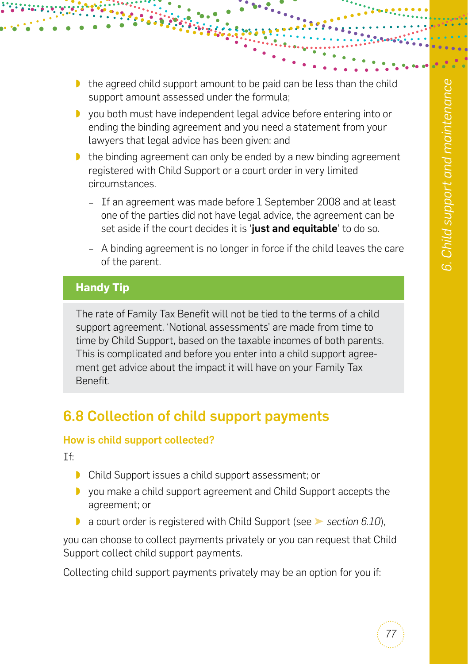- ◗ the agreed child support amount to be paid can be less than the child support amount assessed under the formula;
- ◗ you both must have independent legal advice before entering into or ending the binding agreement and you need a statement from your lawyers that legal advice has been given; and
- ◗ the binding agreement can only be ended by a new binding agreement registered with Child Support or a court order in very limited circumstances.
	- − If an agreement was made before 1 September 2008 and at least one of the parties did not have legal advice, the agreement can be set aside if the court decides it is 'just and equitable' to do so.
	- − A binding agreement is no longer in force if the child leaves the care of the parent.

#### **Handy Tip**

The rate of Family Tax Benefit will not be tied to the terms of a child support agreement. 'Notional assessments' are made from time to time by Child Support, based on the taxable incomes of both parents. This is complicated and before you enter into a child support agreement get advice about the impact it will have on your Family Tax Benefit.

### 6.8 Collection of child support payments

#### How is child support collected?

If:

- ◗ Child Support issues a child support assessment; or
- ◗ you make a child support agreement and Child Support accepts the agreement; or
- ◗ a court order is registered with Child Support (see ➤ *[section 6.10](#page-14-0)*),

you can choose to collect payments privately or you can request that Child Support collect child support payments.

Collecting child support payments privately may be an option for you if: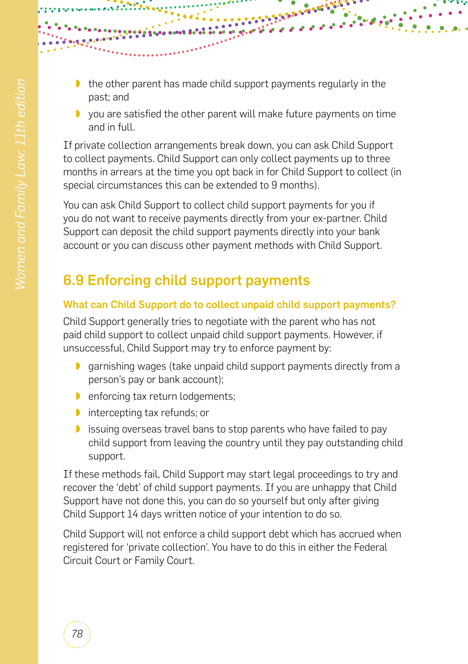- ◗ the other parent has made child support payments regularly in the past; and
- ◗ you are satisfied the other parent will make future payments on time and in full.

**BALLARY STAR** 

If private collection arrangements break down, you can ask Child Support to collect payments. Child Support can only collect payments up to three months in arrears at the time you opt back in for Child Support to collect (in special circumstances this can be extended to 9 months).

You can ask Child Support to collect child support payments for you if you do not want to receive payments directly from your ex-partner. Child Support can deposit the child support payments directly into your bank account or you can discuss other payment methods with Child Support.

# 6.9 Enforcing child support payments

#### What can Child Support do to collect unpaid child support payments?

Child Support generally tries to negotiate with the parent who has not paid child support to collect unpaid child support payments. However, if unsuccessful, Child Support may try to enforce payment by:

- ◗ garnishing wages (take unpaid child support payments directly from a person's pay or bank account);
- ◗ enforcing tax return lodgements;
- ◗ intercepting tax refunds; or
- ◗ issuing overseas travel bans to stop parents who have failed to pay child support from leaving the country until they pay outstanding child support.

If these methods fail, Child Support may start legal proceedings to try and recover the 'debt' of child support payments. If you are unhappy that Child Support have not done this, you can do so yourself but only after giving Child Support 14 days written notice of your intention to do so.

Child Support will not enforce a child support debt which has accrued when registered for 'private collection'. You have to do this in either the Federal Circuit Court or Family Court.

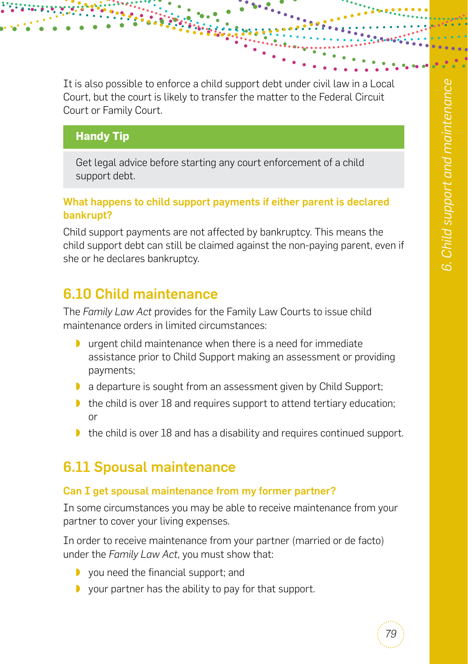It is also possible to enforce a child support debt under civil law in a Local Court, but the court is likely to transfer the matter to the Federal Circuit Court or Family Court.

#### **Handy Tip**

Get legal advice before starting any court enforcement of a child support debt.

#### What happens to child support payments if either parent is declared bankrupt?

Child support payments are not affected by bankruptcy. This means the child support debt can still be claimed against the non-paying parent, even if she or he declares bankruptcy.

# <span id="page-14-0"></span>6.10 Child maintenance

The *Family Law Act* provides for the Family Law Courts to issue child maintenance orders in limited circumstances:

- ◗ urgent child maintenance when there is a need for immediate assistance prior to Child Support making an assessment or providing payments;
- ◗ a departure is sought from an assessment given by Child Support;
- ◗ the child is over 18 and requires support to attend tertiary education; or
- ◗ the child is over 18 and has a disability and requires continued support.

# 6.11 Spousal maintenance

#### Can I get spousal maintenance from my former partner?

In some circumstances you may be able to receive maintenance from your partner to cover your living expenses.

In order to receive maintenance from your partner (married or de facto) under the *Family Law Act*, you must show that:

- ◗ you need the financial support; and
- ◗ your partner has the ability to pay for that support.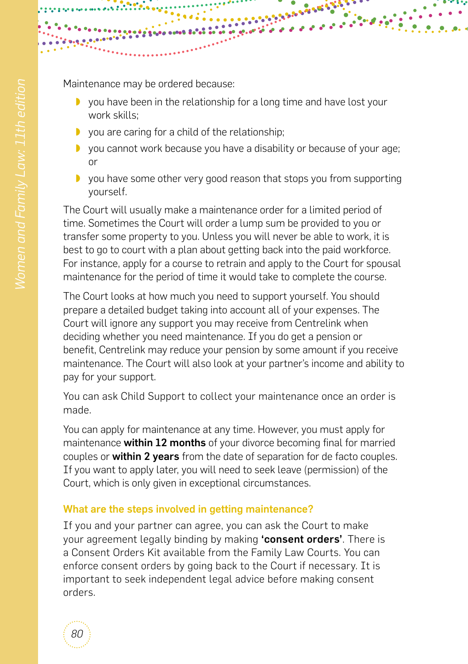

Maintenance may be ordered because:

- ◗ you have been in the relationship for a long time and have lost your work skills;
- ◗ you are caring for a child of the relationship;
- ◗ you cannot work because you have a disability or because of your age; or
- ◗ you have some other very good reason that stops you from supporting yourself.

The Court will usually make a maintenance order for a limited period of time. Sometimes the Court will order a lump sum be provided to you or transfer some property to you. Unless you will never be able to work, it is best to go to court with a plan about getting back into the paid workforce. For instance, apply for a course to retrain and apply to the Court for spousal maintenance for the period of time it would take to complete the course.

The Court looks at how much you need to support yourself. You should prepare a detailed budget taking into account all of your expenses. The Court will ignore any support you may receive from Centrelink when deciding whether you need maintenance. If you do get a pension or benefit, Centrelink may reduce your pension by some amount if you receive maintenance. The Court will also look at your partner's income and ability to pay for your support.

You can ask Child Support to collect your maintenance once an order is made.

You can apply for maintenance at any time. However, you must apply for maintenance within 12 months of your divorce becoming final for married couples or **within 2 years** from the date of separation for de facto couples. If you want to apply later, you will need to seek leave (permission) of the Court, which is only given in exceptional circumstances.

#### What are the steps involved in getting maintenance?

If you and your partner can agree, you can ask the Court to make your agreement legally binding by making 'consent orders'. There is a Consent Orders Kit available from the Family Law Courts. You can enforce consent orders by going back to the Court if necessary. It is important to seek independent legal advice before making consent orders.